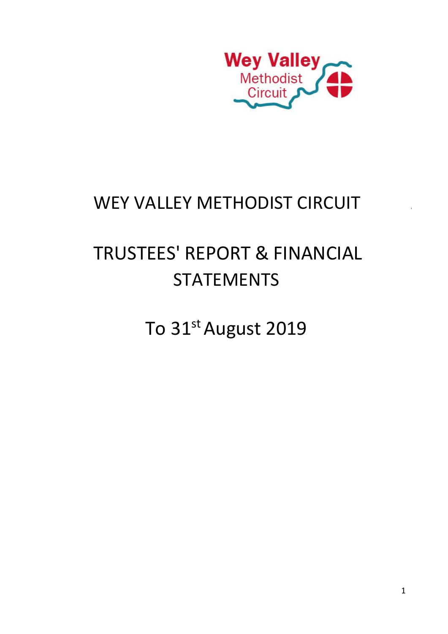

# WEY VALLEY METHODIST CIRCUIT

# TRUSTEES' REPORT & FINANCIAL STATEMENTS

To 31st August 2019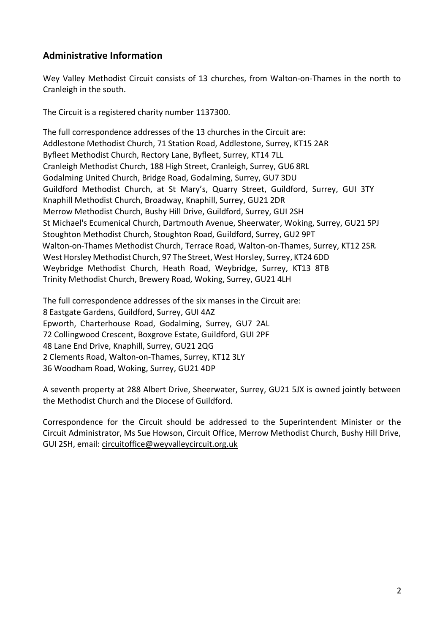### **Administrative Information**

Wey Valley Methodist Circuit consists of 13 churches, from Walton-on-Thames in the north to Cranleigh in the south.

The Circuit is a registered charity number 1137300.

The full correspondence addresses of the 13 churches in the Circuit are: Addlestone Methodist Church, 71 Station Road, Addlestone, Surrey, KT15 2AR Byfleet Methodist Church, Rectory Lane, Byfleet, Surrey, KT14 7LL Cranleigh Methodist Church, 188 High Street, Cranleigh, Surrey, GU6 8RL Godalming United Church, Bridge Road, Godalming, Surrey, GU7 3DU Guildford Methodist Church, at St Mary's, Quarry Street, Guildford, Surrey, GUI 3TY Knaphill Methodist Church, Broadway, Knaphill, Surrey, GU21 2DR Merrow Methodist Church, Bushy Hill Drive, Guildford, Surrey, GUI 2SH St Michael's Ecumenical Church, Dartmouth Avenue, Sheerwater, Woking, Surrey, GU21 5PJ Stoughton Methodist Church, Stoughton Road, Guildford, Surrey, GU2 9PT Walton-on-Thames Methodist Church, Terrace Road, Walton-on-Thames, Surrey, KT12 2SR West Horsley Methodist Church, 97 The Street, West Horsley, Surrey, KT24 6DD Weybridge Methodist Church, Heath Road, Weybridge, Surrey, KT13 8TB Trinity Methodist Church, Brewery Road, Woking, Surrey, GU21 4LH

The full correspondence addresses of the six manses in the Circuit are: 8 Eastgate Gardens, Guildford, Surrey, GUI 4AZ Epworth, Charterhouse Road, Godalming, Surrey, GU7 2AL 72 Collingwood Crescent, Boxgrove Estate, Guildford, GUI 2PF 48 Lane End Drive, Knaphill, Surrey, GU21 2QG 2 Clements Road, Walton-on-Thames, Surrey, KT12 3LY 36 Woodham Road, Woking, Surrey, GU21 4DP

A seventh property at 288 Albert Drive, Sheerwater, Surrey, GU21 5JX is owned jointly between the Methodist Church and the Diocese of Guildford.

Correspondence for the Circuit should be addressed to the Superintendent Minister or the Circuit Administrator, Ms Sue Howson, Circuit Office, Merrow Methodist Church, Bushy Hill Drive, GUI 2SH, email: circuitoffice@weyvalleycircuit.org.uk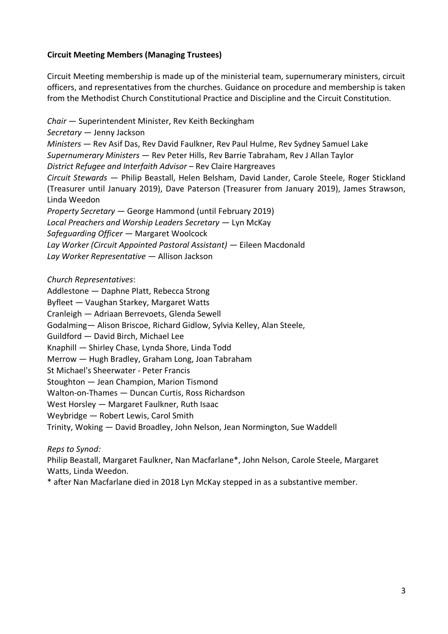#### **Circuit Meeting Members (Managing Trustees)**

Circuit Meeting membership is made up of the ministerial team, supernumerary ministers, circuit officers, and representatives from the churches. Guidance on procedure and membership is taken from the Methodist Church Constitutional Practice and Discipline and the Circuit Constitution.

*Chair* — Superintendent Minister, Rev Keith Beckingham *Secretary* — Jenny Jackson *Ministers* — Rev Asif Das, Rev David Faulkner, Rev Paul Hulme, Rev Sydney Samuel Lake *Supernumerary Ministers* — Rev Peter Hills, Rev Barrie Tabraham, Rev J Allan Taylor *District Refugee and Interfaith Advisor* – Rev Claire Hargreaves *Circuit Stewards* — Philip Beastall, Helen Belsham, David Lander, Carole Steele, Roger Stickland (Treasurer until January 2019), Dave Paterson (Treasurer from January 2019), James Strawson, Linda Weedon *Property Secretary* — George Hammond (until February 2019) *Local Preachers and Worship Leaders Secretary* — Lyn McKay *Safeguarding Officer* — Margaret Woolcock *Lay Worker (Circuit Appointed Pastoral Assistant)* — Eileen Macdonald *Lay Worker Representative* — Allison Jackson

*Church Representatives*:

Addlestone — Daphne Platt, Rebecca Strong Byfleet — Vaughan Starkey, Margaret Watts Cranleigh — Adriaan Berrevoets, Glenda Sewell Godalming— Alison Briscoe, Richard Gidlow, Sylvia Kelley, Alan Steele, Guildford — David Birch, Michael Lee Knaphill — Shirley Chase, Lynda Shore, Linda Todd Merrow — Hugh Bradley, Graham Long, Joan Tabraham St Michael's Sheerwater - Peter Francis Stoughton — Jean Champion, Marion Tismond Walton-on-Thames — Duncan Curtis, Ross Richardson West Horsley — Margaret Faulkner, Ruth Isaac Weybridge — Robert Lewis, Carol Smith Trinity, Woking — David Broadley, John Nelson, Jean Normington, Sue Waddell

*Reps to Synod:*

Philip Beastall, Margaret Faulkner, Nan Macfarlane\*, John Nelson, Carole Steele, Margaret Watts, Linda Weedon.

\* after Nan Macfarlane died in 2018 Lyn McKay stepped in as a substantive member.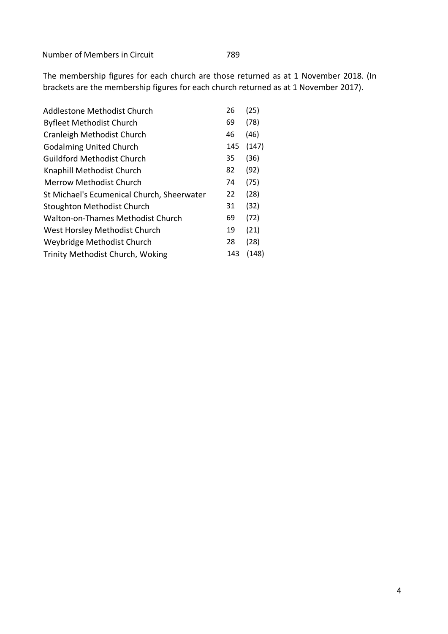Number of Members in Circuit 789

The membership figures for each church are those returned as at 1 November 2018. (In brackets are the membership figures for each church returned as at 1 November 2017).

| 26  | (25)  |
|-----|-------|
| 69  | (78)  |
| 46  | (46)  |
| 145 | (147) |
| 35  | (36)  |
| 82  | (92)  |
| 74  | (75)  |
| 22  | (28)  |
| 31  | (32)  |
| 69  | (72)  |
| 19  | (21)  |
| 28  | (28)  |
| 143 | (148) |
|     |       |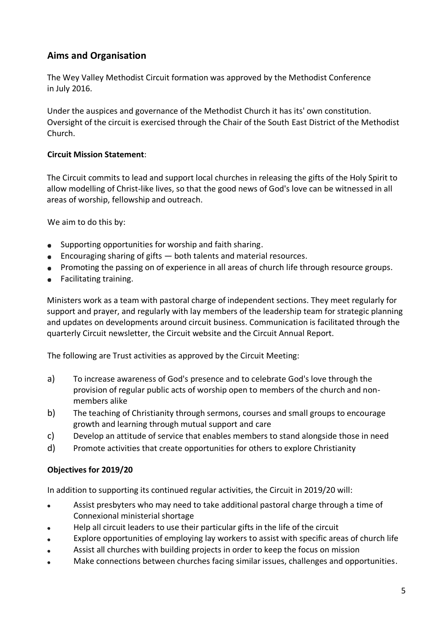# **Aims and Organisation**

The Wey Valley Methodist Circuit formation was approved by the Methodist Conference in July 2016.

Under the auspices and governance of the Methodist Church it has its' own constitution. Oversight of the circuit is exercised through the Chair of the South East District of the Methodist Church.

#### **Circuit Mission Statement**:

The Circuit commits to lead and support local churches in releasing the gifts of the Holy Spirit to allow modelling of Christ-like lives, so that the good news of God's love can be witnessed in all areas of worship, fellowship and outreach.

We aim to do this by:

- Supporting opportunities for worship and faith sharing.  $\bullet$
- Encouraging sharing of gifts both talents and material resources.
- Promoting the passing on of experience in all areas of church life through resource groups.
- Facilitating training.

Ministers work as a team with pastoral charge of independent sections. They meet regularly for support and prayer, and regularly with lay members of the leadership team for strategic planning and updates on developments around circuit business. Communication is facilitated through the quarterly Circuit newsletter, the Circuit website and the Circuit Annual Report.

The following are Trust activities as approved by the Circuit Meeting:

- a) To increase awareness of God's presence and to celebrate God's love through the provision of regular public acts of worship open to members of the church and nonmembers alike
- b) The teaching of Christianity through sermons, courses and small groups to encourage growth and learning through mutual support and care
- c) Develop an attitude of service that enables members to stand alongside those in need
- d) Promote activities that create opportunities for others to explore Christianity

#### **Objectives for 2019/20**

In addition to supporting its continued regular activities, the Circuit in 2019/20 will:

- Assist presbyters who may need to take additional pastoral charge through a time of Connexional ministerial shortage
- Help all circuit leaders to use their particular gifts in the life of the circuit
- Explore opportunities of employing lay workers to assist with specific areas of church life
- Assist all churches with building projects in order to keep the focus on mission
- Make connections between churches facing similar issues, challenges and opportunities.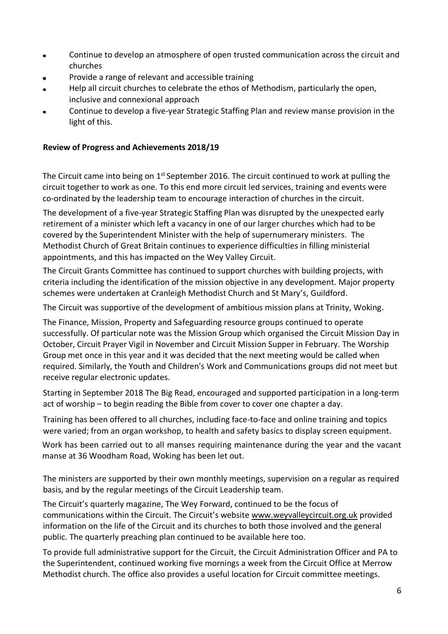- Continue to develop an atmosphere of open trusted communication across the circuit and  $\bullet$ churches
- Provide a range of relevant and accessible training
- Help all circuit churches to celebrate the ethos of Methodism, particularly the open,  $\bullet$ inclusive and connexional approach
- Continue to develop a five-year Strategic Staffing Plan and review manse provision in the light of this.

#### **Review of Progress and Achievements 2018/19**

The Circuit came into being on  $1<sup>st</sup>$  September 2016. The circuit continued to work at pulling the circuit together to work as one. To this end more circuit led services, training and events were co-ordinated by the leadership team to encourage interaction of churches in the circuit.

The development of a five-year Strategic Staffing Plan was disrupted by the unexpected early retirement of a minister which left a vacancy in one of our larger churches which had to be covered by the Superintendent Minister with the help of supernumerary ministers. The Methodist Church of Great Britain continues to experience difficulties in filling ministerial appointments, and this has impacted on the Wey Valley Circuit.

The Circuit Grants Committee has continued to support churches with building projects, with criteria including the identification of the mission objective in any development. Major property schemes were undertaken at Cranleigh Methodist Church and St Mary's, Guildford.

The Circuit was supportive of the development of ambitious mission plans at Trinity, Woking.

The Finance, Mission, Property and Safeguarding resource groups continued to operate successfully. Of particular note was the Mission Group which organised the Circuit Mission Day in October, Circuit Prayer Vigil in November and Circuit Mission Supper in February. The Worship Group met once in this year and it was decided that the next meeting would be called when required. Similarly, the Youth and Children's Work and Communications groups did not meet but receive regular electronic updates.

Starting in September 2018 The Big Read, encouraged and supported participation in a long-term act of worship – to begin reading the Bible from cover to cover one chapter a day.

Training has been offered to all churches, including face-to-face and online training and topics were varied; from an organ workshop, to health and safety basics to display screen equipment.

Work has been carried out to all manses requiring maintenance during the year and the vacant manse at 36 Woodham Road, Woking has been let out.

The ministers are supported by their own monthly meetings, supervision on a regular as required basis, and by the regular meetings of the Circuit Leadership team.

The Circuit's quarterly magazine, The Wey Forward, continued to be the focus of communications within the Circuit. The Circuit's website [www.weyvalleycircuit.org.uk](http://www.weyvalleycircuit.org.uk/) provided information on the life of the Circuit and its churches to both those involved and the general public. The quarterly preaching plan continued to be available here too.

To provide full administrative support for the Circuit, the Circuit Administration Officer and PA to the Superintendent, continued working five mornings a week from the Circuit Office at Merrow Methodist church. The office also provides a useful location for Circuit committee meetings.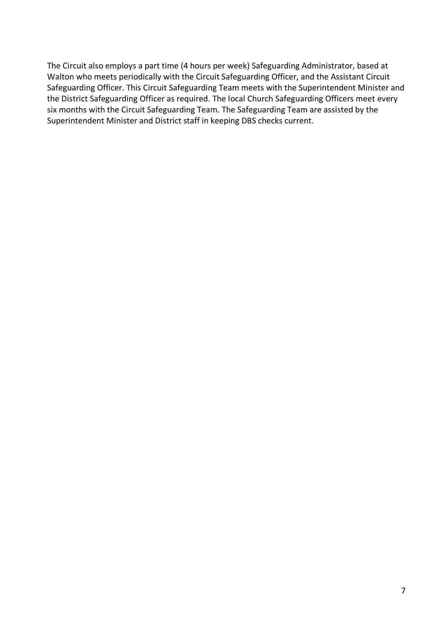The Circuit also employs a part time (4 hours per week) Safeguarding Administrator, based at Walton who meets periodically with the Circuit Safeguarding Officer, and the Assistant Circuit Safeguarding Officer. This Circuit Safeguarding Team meets with the Superintendent Minister and the District Safeguarding Officer as required. The local Church Safeguarding Officers meet every six months with the Circuit Safeguarding Team. The Safeguarding Team are assisted by the Superintendent Minister and District staff in keeping DBS checks current.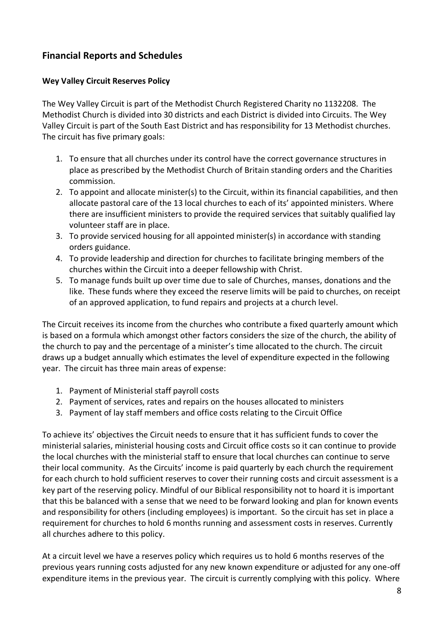# **Financial Reports and Schedules**

#### **Wey Valley Circuit Reserves Policy**

The Wey Valley Circuit is part of the Methodist Church Registered Charity no 1132208. The Methodist Church is divided into 30 districts and each District is divided into Circuits. The Wey Valley Circuit is part of the South East District and has responsibility for 13 Methodist churches. The circuit has five primary goals:

- 1. To ensure that all churches under its control have the correct governance structures in place as prescribed by the Methodist Church of Britain standing orders and the Charities commission.
- 2. To appoint and allocate minister(s) to the Circuit, within its financial capabilities, and then allocate pastoral care of the 13 local churches to each of its' appointed ministers. Where there are insufficient ministers to provide the required services that suitably qualified lay volunteer staff are in place.
- 3. To provide serviced housing for all appointed minister(s) in accordance with standing orders guidance.
- 4. To provide leadership and direction for churches to facilitate bringing members of the churches within the Circuit into a deeper fellowship with Christ.
- 5. To manage funds built up over time due to sale of Churches, manses, donations and the like. These funds where they exceed the reserve limits will be paid to churches, on receipt of an approved application, to fund repairs and projects at a church level.

The Circuit receives its income from the churches who contribute a fixed quarterly amount which is based on a formula which amongst other factors considers the size of the church, the ability of the church to pay and the percentage of a minister's time allocated to the church. The circuit draws up a budget annually which estimates the level of expenditure expected in the following year. The circuit has three main areas of expense:

- 1. Payment of Ministerial staff payroll costs
- 2. Payment of services, rates and repairs on the houses allocated to ministers
- 3. Payment of lay staff members and office costs relating to the Circuit Office

To achieve its' objectives the Circuit needs to ensure that it has sufficient funds to cover the ministerial salaries, ministerial housing costs and Circuit office costs so it can continue to provide the local churches with the ministerial staff to ensure that local churches can continue to serve their local community. As the Circuits' income is paid quarterly by each church the requirement for each church to hold sufficient reserves to cover their running costs and circuit assessment is a key part of the reserving policy. Mindful of our Biblical responsibility not to hoard it is important that this be balanced with a sense that we need to be forward looking and plan for known events and responsibility for others (including employees) is important. So the circuit has set in place a requirement for churches to hold 6 months running and assessment costs in reserves. Currently all churches adhere to this policy.

At a circuit level we have a reserves policy which requires us to hold 6 months reserves of the previous years running costs adjusted for any new known expenditure or adjusted for any one-off expenditure items in the previous year. The circuit is currently complying with this policy. Where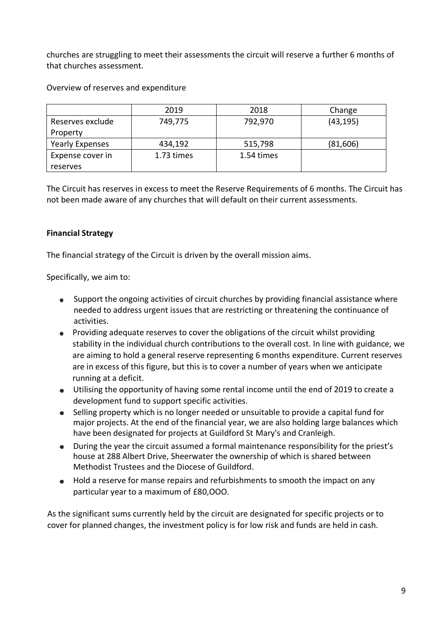churches are struggling to meet their assessments the circuit will reserve a further 6 months of that churches assessment.

Overview of reserves and expenditure

|                        | 2019       | 2018       | Change    |
|------------------------|------------|------------|-----------|
| Reserves exclude       | 749,775    | 792,970    | (43, 195) |
| Property               |            |            |           |
| <b>Yearly Expenses</b> | 434,192    | 515,798    | (81,606)  |
| Expense cover in       | 1.73 times | 1.54 times |           |
| reserves               |            |            |           |

The Circuit has reserves in excess to meet the Reserve Requirements of 6 months. The Circuit has not been made aware of any churches that will default on their current assessments.

#### **Financial Strategy**

The financial strategy of the Circuit is driven by the overall mission aims.

Specifically, we aim to:

- $\bullet$ Support the ongoing activities of circuit churches by providing financial assistance where needed to address urgent issues that are restricting or threatening the continuance of activities.
- Providing adequate reserves to cover the obligations of the circuit whilst providing stability in the individual church contributions to the overall cost. In line with guidance, we are aiming to hold a general reserve representing 6 months expenditure. Current reserves are in excess of this figure, but this is to cover a number of years when we anticipate running at a deficit.
- Utilising the opportunity of having some rental income until the end of 2019 to create a development fund to support specific activities.
- Selling property which is no longer needed or unsuitable to provide a capital fund for  $\bullet$ major projects. At the end of the financial year, we are also holding large balances which have been designated for projects at Guildford St Mary's and Cranleigh.
- During the year the circuit assumed a formal maintenance responsibility for the priest's house at 288 Albert Drive, Sheerwater the ownership of which is shared between Methodist Trustees and the Diocese of Guildford.
- Hold a reserve for manse repairs and refurbishments to smooth the impact on any particular year to a maximum of £80,OOO.

As the significant sums currently held by the circuit are designated for specific projects or to cover for planned changes, the investment policy is for low risk and funds are held in cash.